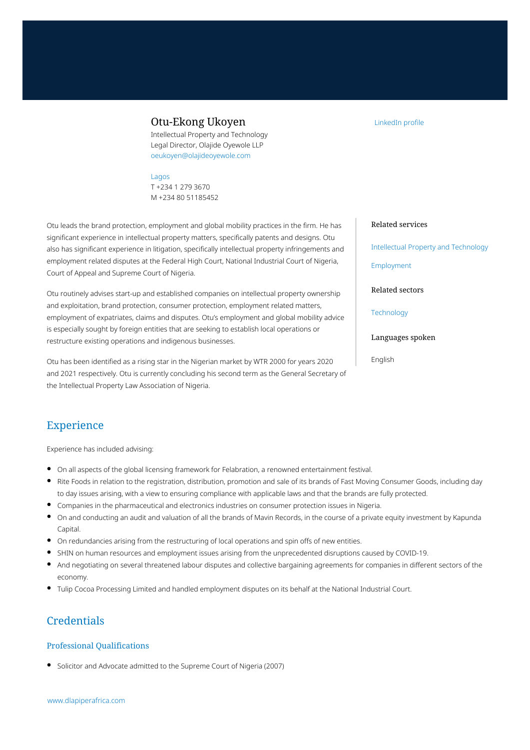## Otu-Ekong Ukoyen

Intellectual Property and Technology Legal Director, Olajide Oyewole LLP oeukoyen@olajideoyewole.com

[Lagos](https://www.dlapiperafrica.com/nigeria/locations/lagos.html) T +234 1 279 3670 M +234 80 51185452

Otu leads the brand protection, employment and global mobility practices in the firm. He has significant experience in intellectual property matters, specifically patents and designs. Otu also has significant experience in litigation, specifically intellectual property infringements and employment related disputes at the Federal High Court, National Industrial Court of Nigeria, Court of Appeal and Supreme Court of Nigeria.

Otu routinely advises start-up and established companies on intellectual property ownership and exploitation, brand protection, consumer protection, employment related matters, employment of expatriates, claims and disputes. Otu's employment and global mobility advice is especially sought by foreign entities that are seeking to establish local operations or restructure existing operations and indigenous businesses.

Otu has been identified as a rising star in the Nigerian market by WTR 2000 for years 2020 and 2021 respectively. Otu is currently concluding his second term as the General Secretary of the Intellectual Property Law Association of Nigeria.

# Experience

Experience has included advising:

- On all aspects of the global licensing framework for Felabration, a renowned entertainment festival.
- Rite Foods in relation to the registration, distribution, promotion and sale of its brands of Fast Moving Consumer Goods, including day to day issues arising, with a view to ensuring compliance with applicable laws and that the brands are fully protected.
- Companies in the pharmaceutical and electronics industries on consumer protection issues in Nigeria.
- On and conducting an audit and valuation of all the brands of Mavin Records, in the course of a private equity investment by Kapunda Capital.
- On redundancies arising from the restructuring of local operations and spin offs of new entities.
- SHIN on human resources and employment issues arising from the unprecedented disruptions caused by COVID-19.
- And negotiating on several threatened labour disputes and collective bargaining agreements for companies in different sectors of the economy.
- Tulip Cocoa Processing Limited and handled employment disputes on its behalf at the National Industrial Court.

# **Credentials**

#### Professional Qualifications

Solicitor and Advocate admitted to the Supreme Court of Nigeria (2007)

[www.dlapiperafrica.com](https://www.dlapiperafrica.com)

#### [LinkedIn profile](https://www.linkedin.com/in/otu-ukoyen-b0322350/)

#### Related services

[Intellectual Property and Technology](https://www.dlapiperafrica.com/en/nigeria/services/intellectual-property-and-technology.html)

[Employment](https://www.dlapiperafrica.com/en/nigeria/services/employment.html)

Related sectors

**[Technology](https://www.dlapiperafrica.com/en/nigeria/sectors/technology.html)** 

Languages spoken

English